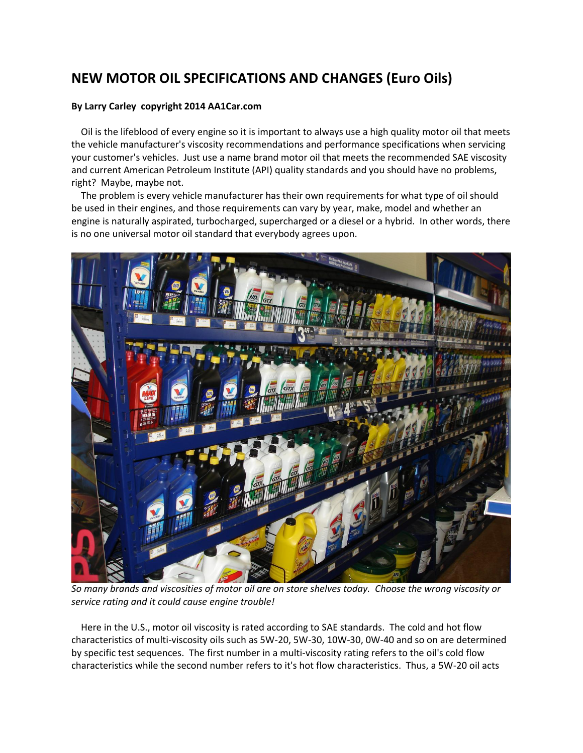# **NEW MOTOR OIL SPECIFICATIONS AND CHANGES (Euro Oils)**

# **By Larry Carley copyright 2014 AA1Car.com**

 Oil is the lifeblood of every engine so it is important to always use a high quality motor oil that meets the vehicle manufacturer's viscosity recommendations and performance specifications when servicing your customer's vehicles. Just use a name brand motor oil that meets the recommended SAE viscosity and current American Petroleum Institute (API) quality standards and you should have no problems, right? Maybe, maybe not.

 The problem is every vehicle manufacturer has their own requirements for what type of oil should be used in their engines, and those requirements can vary by year, make, model and whether an engine is naturally aspirated, turbocharged, supercharged or a diesel or a hybrid. In other words, there is no one universal motor oil standard that everybody agrees upon.



*So many brands and viscosities of motor oil are on store shelves today. Choose the wrong viscosity or service rating and it could cause engine trouble!* 

 Here in the U.S., motor oil viscosity is rated according to SAE standards. The cold and hot flow characteristics of multi-viscosity oils such as 5W-20, 5W-30, 10W-30, 0W-40 and so on are determined by specific test sequences. The first number in a multi-viscosity rating refers to the oil's cold flow characteristics while the second number refers to it's hot flow characteristics. Thus, a 5W-20 oil acts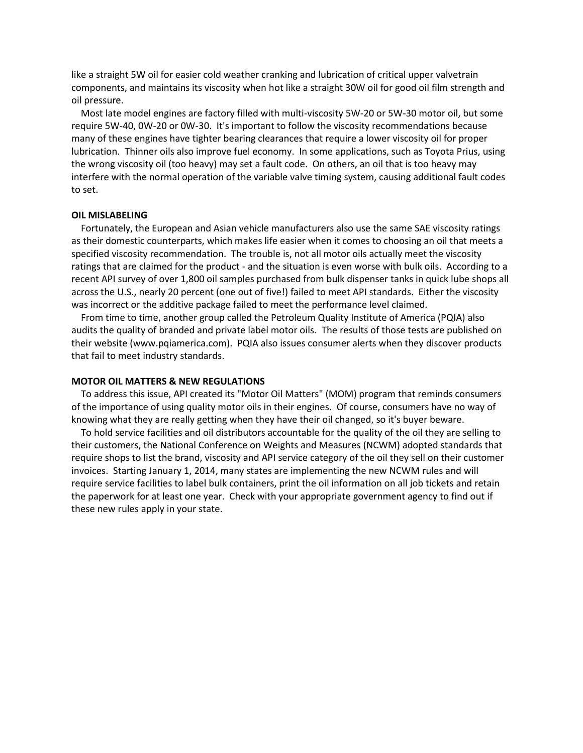like a straight 5W oil for easier cold weather cranking and lubrication of critical upper valvetrain components, and maintains its viscosity when hot like a straight 30W oil for good oil film strength and oil pressure.

 Most late model engines are factory filled with multi-viscosity 5W-20 or 5W-30 motor oil, but some require 5W-40, 0W-20 or 0W-30. It's important to follow the viscosity recommendations because many of these engines have tighter bearing clearances that require a lower viscosity oil for proper lubrication. Thinner oils also improve fuel economy. In some applications, such as Toyota Prius, using the wrong viscosity oil (too heavy) may set a fault code. On others, an oil that is too heavy may interfere with the normal operation of the variable valve timing system, causing additional fault codes to set.

#### **OIL MISLABELING**

 Fortunately, the European and Asian vehicle manufacturers also use the same SAE viscosity ratings as their domestic counterparts, which makes life easier when it comes to choosing an oil that meets a specified viscosity recommendation. The trouble is, not all motor oils actually meet the viscosity ratings that are claimed for the product - and the situation is even worse with bulk oils. According to a recent API survey of over 1,800 oil samples purchased from bulk dispenser tanks in quick lube shops all across the U.S., nearly 20 percent (one out of five!) failed to meet API standards. Either the viscosity was incorrect or the additive package failed to meet the performance level claimed.

 From time to time, another group called the Petroleum Quality Institute of America (PQIA) also audits the quality of branded and private label motor oils. The results of those tests are published on their website (www.pqiamerica.com). PQIA also issues consumer alerts when they discover products that fail to meet industry standards.

#### **MOTOR OIL MATTERS & NEW REGULATIONS**

 To address this issue, API created its "Motor Oil Matters" (MOM) program that reminds consumers of the importance of using quality motor oils in their engines. Of course, consumers have no way of knowing what they are really getting when they have their oil changed, so it's buyer beware.

 To hold service facilities and oil distributors accountable for the quality of the oil they are selling to their customers, the National Conference on Weights and Measures (NCWM) adopted standards that require shops to list the brand, viscosity and API service category of the oil they sell on their customer invoices. Starting January 1, 2014, many states are implementing the new NCWM rules and will require service facilities to label bulk containers, print the oil information on all job tickets and retain the paperwork for at least one year. Check with your appropriate government agency to find out if these new rules apply in your state.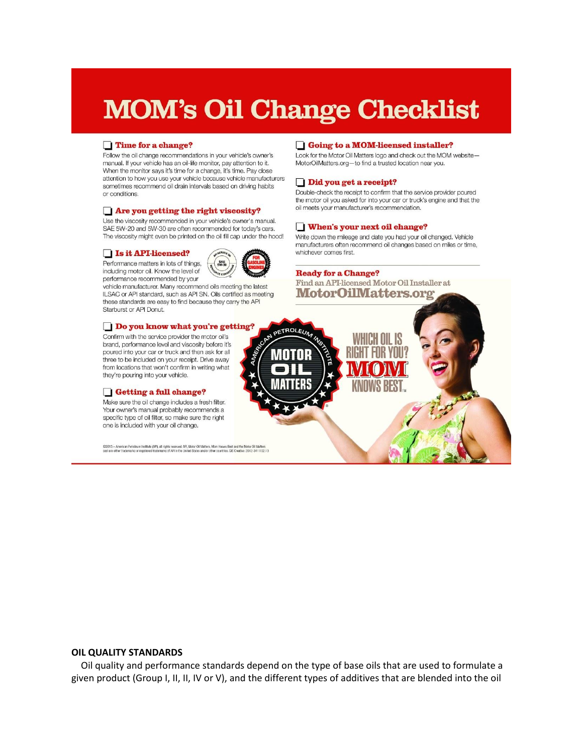# **MOM's Oil Change Checklist**

#### Time for a change?

Follow the oil change recommendations in your vehicle's owner's manual. If your vehicle has an oil-life monitor, pay attention to it. When the monitor says it's time for a change, it's time. Pay close attention to how you use your vehicle because vehicle manufacturers sometimes recommend oil drain intervals based on driving habits or conditions.

#### Are you getting the right viscosity?

Use the viscosity recommended in your vehicle's owner's manual. SAE 5W-20 and 5W-30 are often recommended for today's cars. The viscosity might even be printed on the oil fill cap under the hood!

#### Is it API-licensed?

Performance matters in lots of things, including motor oil. Know the level of performance recommended by your



vehicle manufacturer. Many recommend oils meeting the latest ILSAC or API standard, such as API SN. Oils certified as meeting these standards are easy to find because they carry the API Starburst or API Donut.

#### Do you know what you're getting?

Confirm with the service provider the motor oil's brand, performance level and viscosity before it's poured into your car or truck and then ask for all three to be included on your receipt. Drive away from locations that won't confirm in writing what they're pouring into your vehicle.

#### Getting a full change?

Make sure the oil change includes a fresh filter. Your owner's manual probably recommends a specific type of oil filter, so make sure the right one is included with your oil change.

C2013 - American Petroleum Institute (API), all rights reserved. API, Motor OI Matters, Morn Knows Best and the Motor OI Matters<br>seal are either trademarks or registered trademarks of API in the United States and/or other

#### Going to a MOM-licensed installer?

Look for the Motor Oil Matters logo and check out the MOM website-MotorOilMatters.org-to find a trusted location near you.

#### Did you get a receipt?

Double-check the receipt to confirm that the service provider poured the motor oil you asked for into your car or truck's engine and that the oil meets your manufacturer's recommendation.

#### When's your next oil change?

Write down the mileage and date you had your oil changed. Vehicle manufacturers often recommend oil changes based on miles or time, whichever comes first.

#### **Ready for a Change?**

Find an API-licensed Motor Oil Installer at **MotorOilMatters.org** 



#### **OIL QUALITY STANDARDS**

 Oil quality and performance standards depend on the type of base oils that are used to formulate a given product (Group I, II, II, IV or V), and the different types of additives that are blended into the oil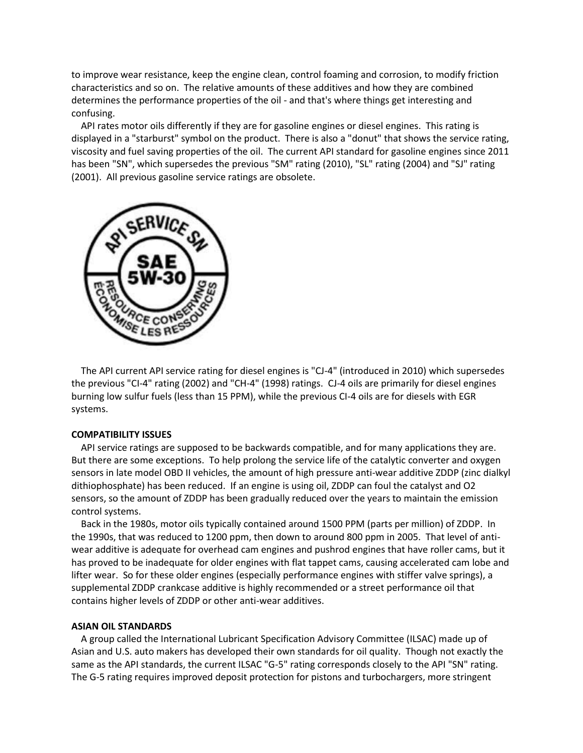to improve wear resistance, keep the engine clean, control foaming and corrosion, to modify friction characteristics and so on. The relative amounts of these additives and how they are combined determines the performance properties of the oil - and that's where things get interesting and confusing.

 API rates motor oils differently if they are for gasoline engines or diesel engines. This rating is displayed in a "starburst" symbol on the product. There is also a "donut" that shows the service rating, viscosity and fuel saving properties of the oil. The current API standard for gasoline engines since 2011 has been "SN", which supersedes the previous "SM" rating (2010), "SL" rating (2004) and "SJ" rating (2001). All previous gasoline service ratings are obsolete.



 The API current API service rating for diesel engines is "CJ-4" (introduced in 2010) which supersedes the previous "CI-4" rating (2002) and "CH-4" (1998) ratings. CJ-4 oils are primarily for diesel engines burning low sulfur fuels (less than 15 PPM), while the previous CI-4 oils are for diesels with EGR systems.

#### **COMPATIBILITY ISSUES**

 API service ratings are supposed to be backwards compatible, and for many applications they are. But there are some exceptions. To help prolong the service life of the catalytic converter and oxygen sensors in late model OBD II vehicles, the amount of high pressure anti-wear additive ZDDP (zinc dialkyl dithiophosphate) has been reduced. If an engine is using oil, ZDDP can foul the catalyst and O2 sensors, so the amount of ZDDP has been gradually reduced over the years to maintain the emission control systems.

 Back in the 1980s, motor oils typically contained around 1500 PPM (parts per million) of ZDDP. In the 1990s, that was reduced to 1200 ppm, then down to around 800 ppm in 2005. That level of antiwear additive is adequate for overhead cam engines and pushrod engines that have roller cams, but it has proved to be inadequate for older engines with flat tappet cams, causing accelerated cam lobe and lifter wear. So for these older engines (especially performance engines with stiffer valve springs), a supplemental ZDDP crankcase additive is highly recommended or a street performance oil that contains higher levels of ZDDP or other anti-wear additives.

#### **ASIAN OIL STANDARDS**

 A group called the International Lubricant Specification Advisory Committee (ILSAC) made up of Asian and U.S. auto makers has developed their own standards for oil quality. Though not exactly the same as the API standards, the current ILSAC "G-5" rating corresponds closely to the API "SN" rating. The G-5 rating requires improved deposit protection for pistons and turbochargers, more stringent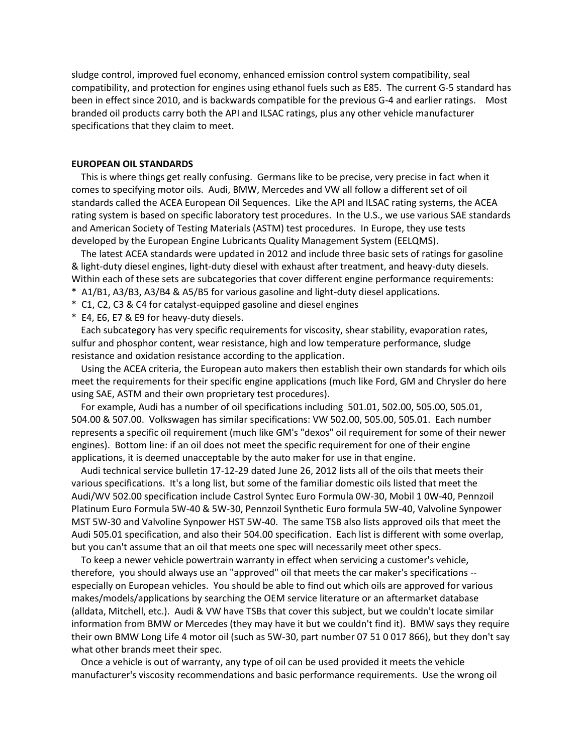sludge control, improved fuel economy, enhanced emission control system compatibility, seal compatibility, and protection for engines using ethanol fuels such as E85. The current G-5 standard has been in effect since 2010, and is backwards compatible for the previous G-4 and earlier ratings. Most branded oil products carry both the API and ILSAC ratings, plus any other vehicle manufacturer specifications that they claim to meet.

### **EUROPEAN OIL STANDARDS**

 This is where things get really confusing. Germans like to be precise, very precise in fact when it comes to specifying motor oils. Audi, BMW, Mercedes and VW all follow a different set of oil standards called the ACEA European Oil Sequences. Like the API and ILSAC rating systems, the ACEA rating system is based on specific laboratory test procedures. In the U.S., we use various SAE standards and American Society of Testing Materials (ASTM) test procedures. In Europe, they use tests developed by the European Engine Lubricants Quality Management System (EELQMS).

 The latest ACEA standards were updated in 2012 and include three basic sets of ratings for gasoline & light-duty diesel engines, light-duty diesel with exhaust after treatment, and heavy-duty diesels. Within each of these sets are subcategories that cover different engine performance requirements:

- \* A1/B1, A3/B3, A3/B4 & A5/B5 for various gasoline and light-duty diesel applications.
- \* C1, C2, C3 & C4 for catalyst-equipped gasoline and diesel engines
- \* E4, E6, E7 & E9 for heavy-duty diesels.

 Each subcategory has very specific requirements for viscosity, shear stability, evaporation rates, sulfur and phosphor content, wear resistance, high and low temperature performance, sludge resistance and oxidation resistance according to the application.

 Using the ACEA criteria, the European auto makers then establish their own standards for which oils meet the requirements for their specific engine applications (much like Ford, GM and Chrysler do here using SAE, ASTM and their own proprietary test procedures).

 For example, Audi has a number of oil specifications including 501.01, 502.00, 505.00, 505.01, 504.00 & 507.00. Volkswagen has similar specifications: VW 502.00, 505.00, 505.01. Each number represents a specific oil requirement (much like GM's "dexos" oil requirement for some of their newer engines). Bottom line: if an oil does not meet the specific requirement for one of their engine applications, it is deemed unacceptable by the auto maker for use in that engine.

 Audi technical service bulletin 17-12-29 dated June 26, 2012 lists all of the oils that meets their various specifications. It's a long list, but some of the familiar domestic oils listed that meet the Audi/WV 502.00 specification include Castrol Syntec Euro Formula 0W-30, Mobil 1 0W-40, Pennzoil Platinum Euro Formula 5W-40 & 5W-30, Pennzoil Synthetic Euro formula 5W-40, Valvoline Synpower MST 5W-30 and Valvoline Synpower HST 5W-40. The same TSB also lists approved oils that meet the Audi 505.01 specification, and also their 504.00 specification. Each list is different with some overlap, but you can't assume that an oil that meets one spec will necessarily meet other specs.

 To keep a newer vehicle powertrain warranty in effect when servicing a customer's vehicle, therefore, you should always use an "approved" oil that meets the car maker's specifications - especially on European vehicles. You should be able to find out which oils are approved for various makes/models/applications by searching the OEM service literature or an aftermarket database (alldata, Mitchell, etc.). Audi & VW have TSBs that cover this subject, but we couldn't locate similar information from BMW or Mercedes (they may have it but we couldn't find it). BMW says they require their own BMW Long Life 4 motor oil (such as 5W-30, part number 07 51 0 017 866), but they don't say what other brands meet their spec.

 Once a vehicle is out of warranty, any type of oil can be used provided it meets the vehicle manufacturer's viscosity recommendations and basic performance requirements. Use the wrong oil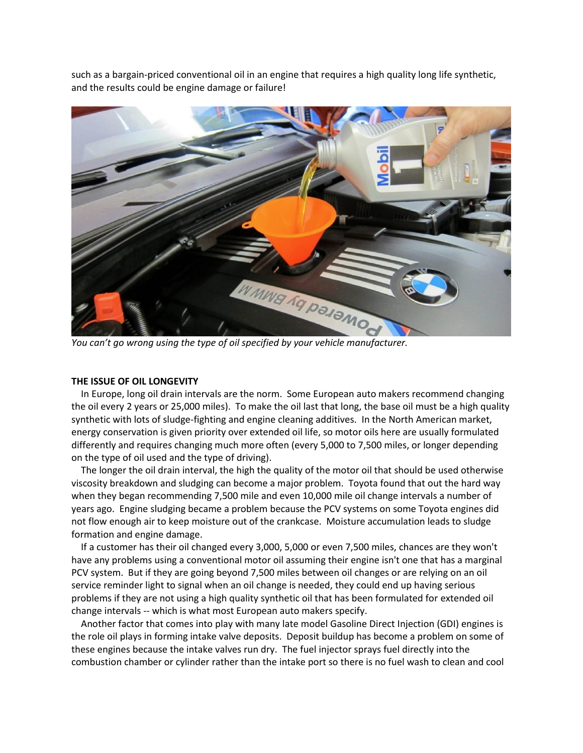such as a bargain-priced conventional oil in an engine that requires a high quality long life synthetic, and the results could be engine damage or failure!



*You can't go wrong using the type of oil specified by your vehicle manufacturer.*

## **THE ISSUE OF OIL LONGEVITY**

 In Europe, long oil drain intervals are the norm. Some European auto makers recommend changing the oil every 2 years or 25,000 miles). To make the oil last that long, the base oil must be a high quality synthetic with lots of sludge-fighting and engine cleaning additives. In the North American market, energy conservation is given priority over extended oil life, so motor oils here are usually formulated differently and requires changing much more often (every 5,000 to 7,500 miles, or longer depending on the type of oil used and the type of driving).

 The longer the oil drain interval, the high the quality of the motor oil that should be used otherwise viscosity breakdown and sludging can become a major problem. Toyota found that out the hard way when they began recommending 7,500 mile and even 10,000 mile oil change intervals a number of years ago. Engine sludging became a problem because the PCV systems on some Toyota engines did not flow enough air to keep moisture out of the crankcase. Moisture accumulation leads to sludge formation and engine damage.

 If a customer has their oil changed every 3,000, 5,000 or even 7,500 miles, chances are they won't have any problems using a conventional motor oil assuming their engine isn't one that has a marginal PCV system. But if they are going beyond 7,500 miles between oil changes or are relying on an oil service reminder light to signal when an oil change is needed, they could end up having serious problems if they are not using a high quality synthetic oil that has been formulated for extended oil change intervals -- which is what most European auto makers specify.

 Another factor that comes into play with many late model Gasoline Direct Injection (GDI) engines is the role oil plays in forming intake valve deposits. Deposit buildup has become a problem on some of these engines because the intake valves run dry. The fuel injector sprays fuel directly into the combustion chamber or cylinder rather than the intake port so there is no fuel wash to clean and cool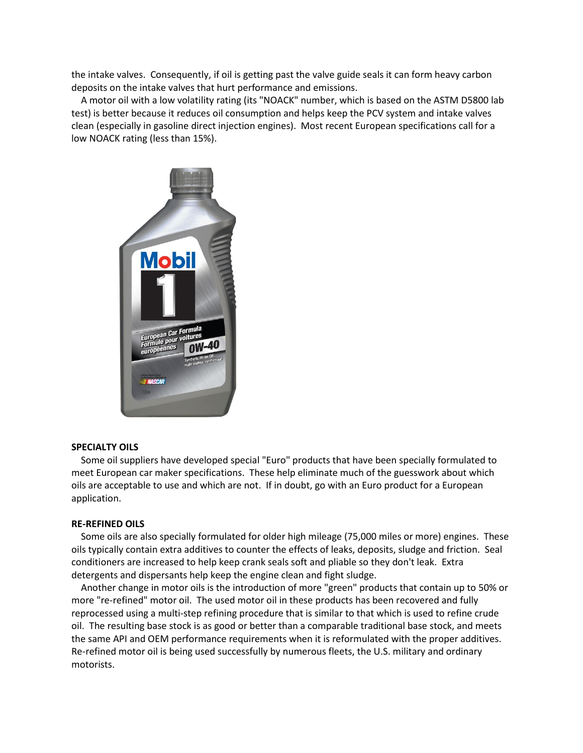the intake valves. Consequently, if oil is getting past the valve guide seals it can form heavy carbon deposits on the intake valves that hurt performance and emissions.

 A motor oil with a low volatility rating (its "NOACK" number, which is based on the ASTM D5800 lab test) is better because it reduces oil consumption and helps keep the PCV system and intake valves clean (especially in gasoline direct injection engines). Most recent European specifications call for a low NOACK rating (less than 15%).



#### **SPECIALTY OILS**

 Some oil suppliers have developed special "Euro" products that have been specially formulated to meet European car maker specifications. These help eliminate much of the guesswork about which oils are acceptable to use and which are not. If in doubt, go with an Euro product for a European application.

### **RE-REFINED OILS**

 Some oils are also specially formulated for older high mileage (75,000 miles or more) engines. These oils typically contain extra additives to counter the effects of leaks, deposits, sludge and friction. Seal conditioners are increased to help keep crank seals soft and pliable so they don't leak. Extra detergents and dispersants help keep the engine clean and fight sludge.

 Another change in motor oils is the introduction of more "green" products that contain up to 50% or more "re-refined" motor oil. The used motor oil in these products has been recovered and fully reprocessed using a multi-step refining procedure that is similar to that which is used to refine crude oil. The resulting base stock is as good or better than a comparable traditional base stock, and meets the same API and OEM performance requirements when it is reformulated with the proper additives. Re-refined motor oil is being used successfully by numerous fleets, the U.S. military and ordinary motorists.